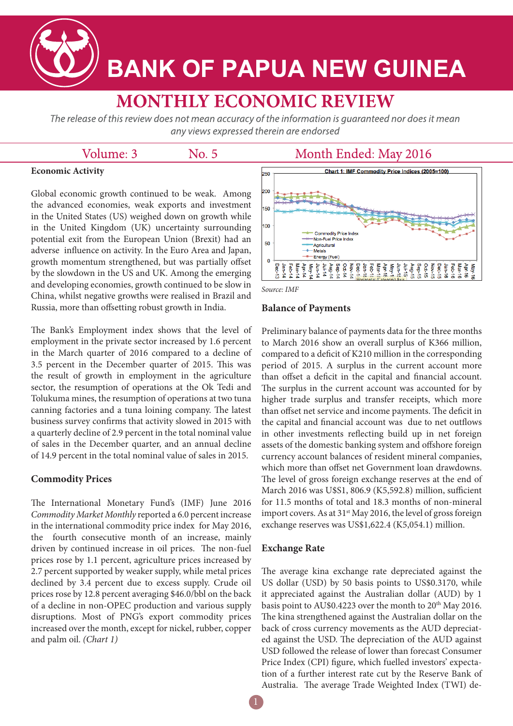

# **BANK OF PAPUA NEW GUINEA**

# **MONTHLY ECONOMIC REVIEW**

The release of this review does not mean accuracy of the information is quaranteed nor does it mean any views expressed therein are endorsed

### Volume: 3

No. 5

## Month Ended: May 2016

#### **Economic Activity**

Global economic growth continued to be weak. Among the advanced economies, weak exports and investment in the United States (US) weighed down on growth while in the United Kingdom (UK) uncertainty surrounding potential exit from the European Union (Brexit) had an adverse influence on activity. In the Euro Area and Japan, growth momentum strengthened, but was partially offset by the slowdown in the US and UK. Among the emerging and developing economies, growth continued to be slow in China, whilst negative growths were realised in Brazil and Russia, more than offsetting robust growth in India.

The Bank's Employment index shows that the level of employment in the private sector increased by 1.6 percent in the March quarter of 2016 compared to a decline of 3.5 percent in the December quarter of 2015. This was the result of growth in employment in the agriculture sector, the resumption of operations at the Ok Tedi and Tolukuma mines, the resumption of operations at two tuna canning factories and a tuna loining company. The latest business survey confirms that activity slowed in 2015 with a quarterly decline of 2.9 percent in the total nominal value of sales in the December quarter, and an annual decline of 14.9 percent in the total nominal value of sales in 2015.

#### **Commodity Prices**

The International Monetary Fund's (IMF) June 2016 *Commodity Market Monthly* reported a 6.0 percent increase in the international commodity price index for May 2016, the fourth consecutive month of an increase, mainly driven by continued increase in oil prices. The non-fuel prices rose by 1.1 percent, agriculture prices increased by 2.7 percent supported by weaker supply, while metal prices declined by 3.4 percent due to excess supply. Crude oil prices rose by 12.8 percent averaging \$46.0/bbl on the back of a decline in non-OPEC production and various supply disruptions. Most of PNG's export commodity prices increased over the month, except for nickel, rubber, copper and palm oil. *(Chart 1)* 





#### **Balance of Payments**

Preliminary balance of payments data for the three months to March 2016 show an overall surplus of K366 million, compared to a deficit of K210 million in the corresponding period of 2015. A surplus in the current account more than offset a deficit in the capital and financial account. The surplus in the current account was accounted for by higher trade surplus and transfer receipts, which more than offset net service and income payments. The deficit in the capital and financial account was due to net outflows in other investments reflecting build up in net foreign assets of the domestic banking system and offshore foreign currency account balances of resident mineral companies, which more than offset net Government loan drawdowns. The level of gross foreign exchange reserves at the end of March 2016 was U\$S1, 806.9 (K5,592.8) million, sufficient for 11.5 months of total and 18.3 months of non-mineral import covers. As at 31<sup>st</sup> May 2016, the level of gross foreign exchange reserves was US\$1,622.4 (K5,054.1) million.

#### **Exchange Rate**

The average kina exchange rate depreciated against the US dollar (USD) by 50 basis points to US\$0.3170, while it appreciated against the Australian dollar (AUD) by 1 basis point to AU\$0.4223 over the month to 20<sup>th</sup> May 2016. The kina strengthened against the Australian dollar on the back of cross currency movements as the AUD depreciated against the USD. The depreciation of the AUD against USD followed the release of lower than forecast Consumer Price Index (CPI) figure, which fuelled investors' expectation of a further interest rate cut by the Reserve Bank of Australia. The average Trade Weighted Index (TWI) de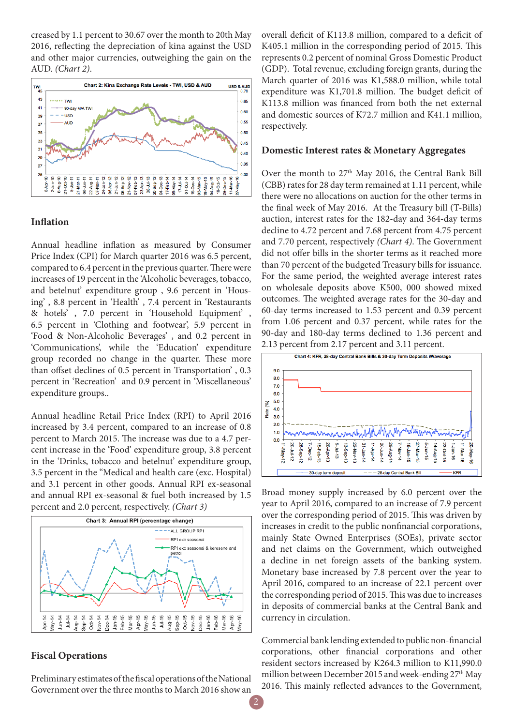creased by 1.1 percent to 30.67 over the month to 20th May 2016, reflecting the depreciation of kina against the USD and other major currencies, outweighing the gain on the AUD. *(Chart 2)*.



#### **Inflation**

Annual headline inflation as measured by Consumer Price Index (CPI) for March quarter 2016 was 6.5 percent, compared to 6.4 percent in the previous quarter. There were increases of 19 percent in the 'Alcoholic beverages, tobacco, and betelnut' expenditure group , 9.6 percent in 'Housing' , 8.8 percent in 'Health' , 7.4 percent in 'Restaurants & hotels' , 7.0 percent in 'Household Equipment' , 6.5 percent in 'Clothing and footwear', 5.9 percent in 'Food & Non-Alcoholic Beverages' , and 0.2 percent in 'Communications', while the 'Education' expenditure group recorded no change in the quarter. These more than offset declines of 0.5 percent in Transportation' , 0.3 percent in 'Recreation' and 0.9 percent in 'Miscellaneous' expenditure groups..

Annual headline Retail Price Index (RPI) to April 2016 increased by 3.4 percent, compared to an increase of 0.8 percent to March 2015. The increase was due to a 4.7 percent increase in the 'Food' expenditure group, 3.8 percent in the 'Drinks, tobacco and betelnut' expenditure group, 3.5 percent in the "Medical and health care (exc. Hospital) and 3.1 percent in other goods. Annual RPI ex-seasonal and annual RPI ex-seasonal & fuel both increased by 1.5 percent and 2.0 percent, respectively. *(Chart 3)*



#### **Fiscal Operations**

Preliminary estimates of the fiscal operations of the National Government over the three months to March 2016 show an

overall deficit of K113.8 million, compared to a deficit of K405.1 million in the corresponding period of 2015. This represents 0.2 percent of nominal Gross Domestic Product (GDP). Total revenue, excluding foreign grants, during the March quarter of 2016 was K1,588.0 million, while total expenditure was K1,701.8 million. The budget deficit of K113.8 million was financed from both the net external and domestic sources of K72.7 million and K41.1 million, respectively.

#### **Domestic Interest rates & Monetary Aggregates**

Over the month to  $27<sup>th</sup>$  May 2016, the Central Bank Bill (CBB) rates for 28 day term remained at 1.11 percent, while there were no allocations on auction for the other terms in the final week of May 2016. At the Treasury bill (T-Bills) auction, interest rates for the 182-day and 364-day terms decline to 4.72 percent and 7.68 percent from 4.75 percent and 7.70 percent, respectively *(Chart 4)*. The Government did not offer bills in the shorter terms as it reached more than 70 percent of the budgeted Treasury bills for issuance. For the same period, the weighted average interest rates on wholesale deposits above K500, 000 showed mixed outcomes. The weighted average rates for the 30-day and 60-day terms increased to 1.53 percent and 0.39 percent from 1.06 percent and 0.37 percent, while rates for the 90-day and 180-day terms declined to 1.36 percent and 2.13 percent from 2.17 percent and 3.11 percent.



Broad money supply increased by 6.0 percent over the year to April 2016, compared to an increase of 7.9 percent over the corresponding period of 2015. This was driven by increases in credit to the public nonfinancial corporations, mainly State Owned Enterprises (SOEs), private sector and net claims on the Government, which outweighed a decline in net foreign assets of the banking system. Monetary base increased by 7.8 percent over the year to April 2016, compared to an increase of 22.1 percent over the corresponding period of 2015. This was due to increases in deposits of commercial banks at the Central Bank and currency in circulation.

Commercial bank lending extended to public non-financial corporations, other financial corporations and other resident sectors increased by K264.3 million to K11,990.0 million between December 2015 and week-ending  $27<sup>th</sup>$  May 2016. This mainly reflected advances to the Government,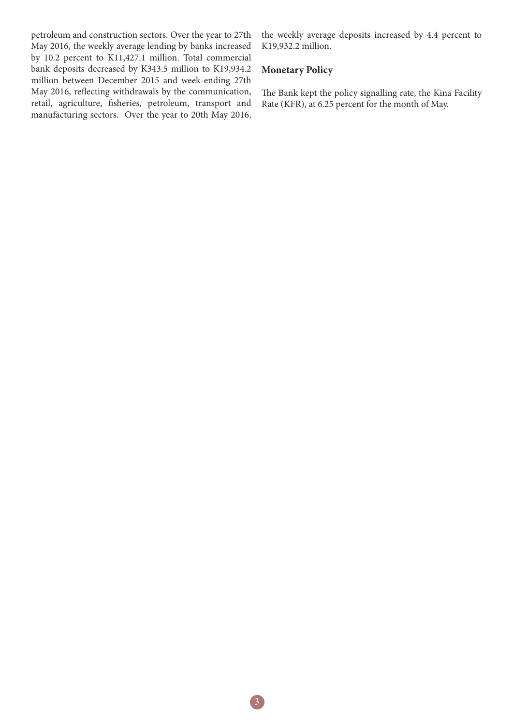petroleum and construction sectors. Over the year to 27th May 2016, the weekly average lending by banks increased by 10.2 percent to K11,427.1 million. Total commercial bank deposits decreased by K343.5 million to K19,934.2 million between December 2015 and week-ending 27th May 2016, reflecting withdrawals by the communication, retail, agriculture, fisheries, petroleum, transport and manufacturing sectors. Over the year to 20th May 2016,

the weekly average deposits increased by 4.4 percent to K19,932.2 million.

#### **Monetary Policy**

The Bank kept the policy signalling rate, the Kina Facility Rate (KFR), at 6.25 percent for the month of May.